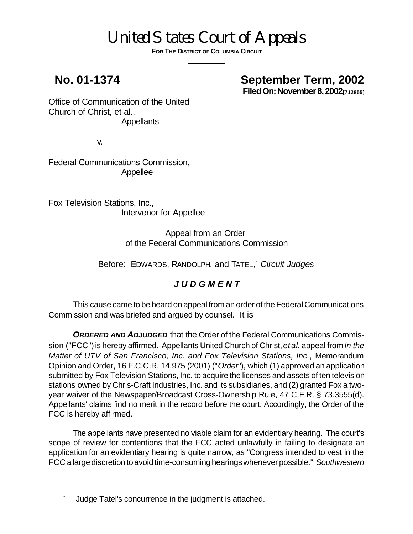# United States Court of Appeals

**FOR THE DISTRICT OF COLUMBIA CIRCUIT**

### **No. 01-1374 September Term, 2002**

**Filed On: November 8, 2002**<sup>[712855]</sup>

Office of Communication of the United Church of Christ, et al., Appellants

v.

Federal Communications Commission, Appellee

Fox Television Stations, Inc., Intervenor for Appellee

\_\_\_\_\_\_\_\_\_\_\_\_\_\_\_\_\_\_\_\_\_\_\_\_\_\_\_\_\_\_\_\_\_\_\_

Appeal from an Order of the Federal Communications Commission

Before: EDWARDS, RANDOLPH, and TATEL, \* *Circuit Judges*

#### *J U D G M E N T*

This cause came to be heard on appeal from an order of the Federal Communications Commission and was briefed and argued by counsel. It is

**ORDERED AND ADJUDGED** that the Order of the Federal Communications Commission ("FCC") is hereby affirmed. Appellants United Church of Christ, *et al.* appeal from *In the Matter of UTV of San Francisco, Inc. and Fox Television Stations, Inc.*, Memorandum Opinion and Order, 16 F.C.C.R. 14,975 (2001) ("*Order*"), which (1) approved an application submitted by Fox Television Stations, Inc. to acquire the licenses and assets of ten television stations owned by Chris-Craft Industries, Inc. and its subsidiaries, and (2) granted Fox a twoyear waiver of the Newspaper/Broadcast Cross-Ownership Rule, 47 C.F.R. § 73.3555(d). Appellants' claims find no merit in the record before the court. Accordingly, the Order of the FCC is hereby affirmed.

The appellants have presented no viable claim for an evidentiary hearing. The court's scope of review for contentions that the FCC acted unlawfully in failing to designate an application for an evidentiary hearing is quite narrow, as "Congress intended to vest in the FCC a large discretion to avoid time-consuming hearings whenever possible." *Southwestern*

Judge Tatel's concurrence in the judgment is attached.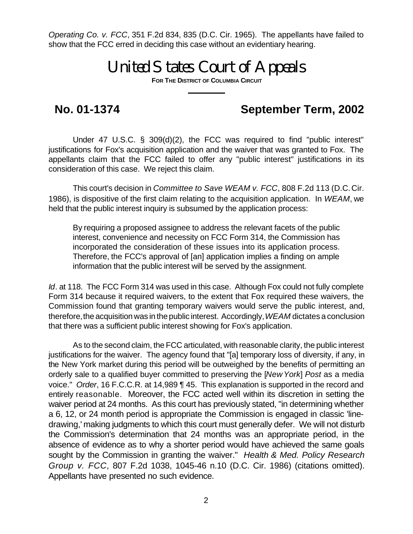*Operating Co. v. FCC*, 351 F.2d 834, 835 (D.C. Cir. 1965). The appellants have failed to show that the FCC erred in deciding this case without an evidentiary hearing.

## United States Court of Appeals

**FOR THE DISTRICT OF COLUMBIA CIRCUIT**

## **No. 01-1374 September Term, 2002**

Under 47 U.S.C. § 309(d)(2), the FCC was required to find "public interest" justifications for Fox's acquisition application and the waiver that was granted to Fox. The appellants claim that the FCC failed to offer any "public interest" justifications in its consideration of this case. We reject this claim.

This court's decision in *Committee to Save WEAM v. FCC*, 808 F.2d 113 (D.C. Cir. 1986), is dispositive of the first claim relating to the acquisition application. In *WEAM*, we held that the public interest inquiry is subsumed by the application process:

By requiring a proposed assignee to address the relevant facets of the public interest, convenience and necessity on FCC Form 314, the Commission has incorporated the consideration of these issues into its application process. Therefore, the FCC's approval of [an] application implies a finding on ample information that the public interest will be served by the assignment.

*Id*. at 118. The FCC Form 314 was used in this case. Although Fox could not fully complete Form 314 because it required waivers, to the extent that Fox required these waivers, the Commission found that granting temporary waivers would serve the public interest, and, therefore, the acquisition was in the public interest. Accordingly, *WEAM* dictates a conclusion that there was a sufficient public interest showing for Fox's application.

As to the second claim, the FCC articulated, with reasonable clarity, the public interest justifications for the waiver. The agency found that "[a] temporary loss of diversity, if any, in the New York market during this period will be outweighed by the benefits of permitting an orderly sale to a qualified buyer committed to preserving the [*New York*] *Post* as a media voice." *Order*, 16 F.C.C.R. at 14,989 ¶ 45. This explanation is supported in the record and entirely reasonable. Moreover, the FCC acted well within its discretion in setting the waiver period at 24 months. As this court has previously stated, "in determining whether a 6, 12, or 24 month period is appropriate the Commission is engaged in classic 'linedrawing,' making judgments to which this court must generally defer. We will not disturb the Commission's determination that 24 months was an appropriate period, in the absence of evidence as to why a shorter period would have achieved the same goals sought by the Commission in granting the waiver." *Health & Med. Policy Research Group v. FCC*, 807 F.2d 1038, 1045-46 n.10 (D.C. Cir. 1986) (citations omitted). Appellants have presented no such evidence.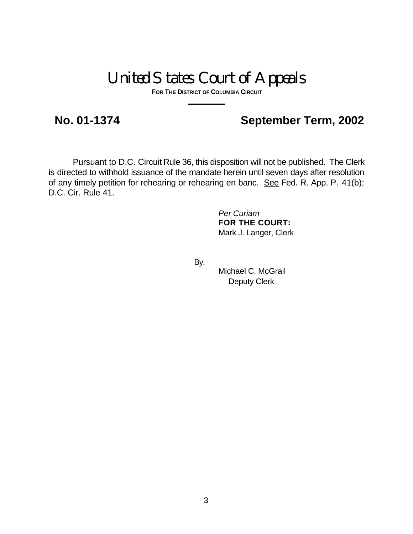## United States Court of Appeals

**FOR THE DISTRICT OF COLUMBIA CIRCUIT**

### **No. 01-1374 September Term, 2002**

Pursuant to D.C. Circuit Rule 36, this disposition will not be published. The Clerk is directed to withhold issuance of the mandate herein until seven days after resolution of any timely petition for rehearing or rehearing en banc. See Fed. R. App. P. 41(b); D.C. Cir. Rule 41.

> *Per Curiam* **FOR THE COURT:** Mark J. Langer, Clerk

By:

Michael C. McGrail Deputy Clerk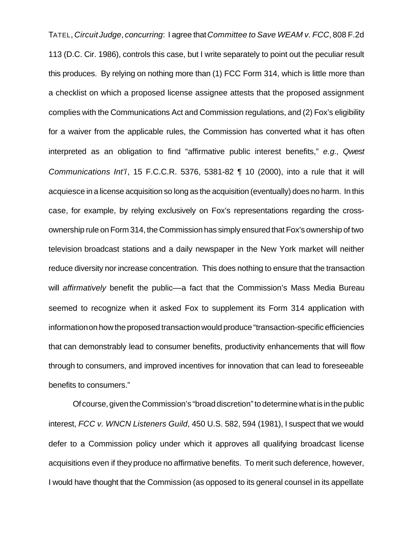TATEL, *Circuit Judge*, *concurring*: I agree that *Committee to Save WEAM v. FCC*, 808 F.2d 113 (D.C. Cir. 1986), controls this case, but I write separately to point out the peculiar result this produces. By relying on nothing more than (1) FCC Form 314, which is little more than a checklist on which a proposed license assignee attests that the proposed assignment complies with the Communications Act and Commission regulations, and (2) Fox's eligibility for a waiver from the applicable rules, the Commission has converted what it has often interpreted as an obligation to find "affirmative public interest benefits," *e.g.*, *Qwest Communications Int'l*, 15 F.C.C.R. 5376, 5381-82 ¶ 10 (2000), into a rule that it will acquiesce in a license acquisition so long as the acquisition (eventually) does no harm. In this case, for example, by relying exclusively on Fox's representations regarding the crossownership rule on Form 314, the Commission has simply ensured that Fox's ownership of two television broadcast stations and a daily newspaper in the New York market will neither reduce diversity nor increase concentration. This does nothing to ensure that the transaction will *affirmatively* benefit the public––a fact that the Commission's Mass Media Bureau seemed to recognize when it asked Fox to supplement its Form 314 application with information on how the proposed transaction would produce "transaction-specific efficiencies that can demonstrably lead to consumer benefits, productivity enhancements that will flow through to consumers, and improved incentives for innovation that can lead to foreseeable benefits to consumers."

Of course, given the Commission's "broad discretion" to determine what is in the public interest, *FCC v. WNCN Listeners Guild*, 450 U.S. 582, 594 (1981), I suspect that we would defer to a Commission policy under which it approves all qualifying broadcast license acquisitions even if they produce no affirmative benefits. To merit such deference, however, I would have thought that the Commission (as opposed to its general counsel in its appellate